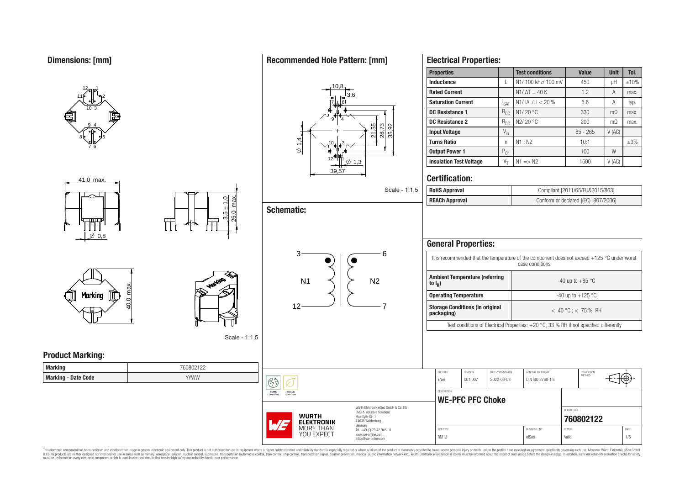





Scale - 1:1,5

 $\circledS$ **RoHS**<br>COMPLIANT

REACH

**WURTH ELEKTRONIK** MORE THAN YOU EXPECT

**Product Marking:**

| <b>Marking</b>             | 760802122   |
|----------------------------|-------------|
| <b>Marking - Date Code</b> | <b>YYWW</b> |

# **Recommended Hole Pattern: [mm]**

**Schematic:**

3



## **Properties Test conditions Value Unit Tol. Inductance**  $\left| L \right| N1/ 100 \text{ kHz} / 100 \text{ mV}$  450  $\left| H \right| \pm 10\%$ **Rated Current**  $\begin{array}{ccc} \n\vdots \\
\end{array}$   $\begin{array}{ccc} \n\end{array}$  N1/  $\Delta T = 40 \text{ K}$   $\begin{array}{ccc} \n\end{array}$  1.2  $\begin{array}{ccc} \n\end{array}$  A  $\begin{array}{ccc} \n\end{array}$  max. **Saturation Current** | I<sub>SAT</sub>  $\frac{S_{\text{SAT}}}{S_{\text{DC}}}$  N1/ |ΔL/L| < 20 % 5.6 A typ.<br>  $\frac{S_{\text{ACT}}}{S_{\text{DC}}}$  N1/ 20 °C 330 mΩ max **DC Resistance 1**  $R_{DC}$  | N1/ 20 °C  $\qquad$  330 mQ max. **DC Resistance 2**  $R_{\text{DC}}$  N2/ 20 °C 200 mΩ max. **Input Voltage**  $V_{in}$   $V_{in}$  85 - 265  $V$  (AC) **Turns Ratio** 1 n | N1 : N2 10:1 | ±3% **Output Power 1**  $\begin{bmatrix} P_{01} \end{bmatrix}$  100 W **Insulation Test Voltage**  $V_T$   $\vert$  N1 => N2 1500  $\vert$  V (AC)

# **Certification:**

**Electrical Properties:**

| Scale - 1:1,5 $\vert$ RoHS Approval | Compliant [2011/65/EU&2015/863]     |
|-------------------------------------|-------------------------------------|
| <b>REACh Approval</b>               | Conform or declared [(EC)1907/2006] |

| <b>Ambient Temperature (referring</b><br>-40 up to $+85$ °C<br>to $I_R$ )<br><b>Operating Temperature</b><br>-40 up to $+125$ °C<br>7<br><b>Storage Conditions (in original</b><br>$<$ 40 °C : $<$ 75 % RH<br>packaging) | REVISION<br>CHECKED<br>DATE (YYYY-MM-DD)<br>GENERAL TOLERANCE<br>001.007<br>2022-06-03<br>DIN ISO 2768-1m<br>FNer |                                                                                          |  |  |  |  |  |  |
|--------------------------------------------------------------------------------------------------------------------------------------------------------------------------------------------------------------------------|-------------------------------------------------------------------------------------------------------------------|------------------------------------------------------------------------------------------|--|--|--|--|--|--|
|                                                                                                                                                                                                                          |                                                                                                                   |                                                                                          |  |  |  |  |  |  |
|                                                                                                                                                                                                                          |                                                                                                                   |                                                                                          |  |  |  |  |  |  |
|                                                                                                                                                                                                                          |                                                                                                                   |                                                                                          |  |  |  |  |  |  |
|                                                                                                                                                                                                                          |                                                                                                                   | Test conditions of Electrical Properties: $+20$ °C, 33 % RH if not specified differently |  |  |  |  |  |  |
|                                                                                                                                                                                                                          |                                                                                                                   |                                                                                          |  |  |  |  |  |  |
| PROJECTION<br><b>METHOD</b>                                                                                                                                                                                              |                                                                                                                   |                                                                                          |  |  |  |  |  |  |
|                                                                                                                                                                                                                          | <b>DESCRIPTION</b>                                                                                                |                                                                                          |  |  |  |  |  |  |
|                                                                                                                                                                                                                          | <b>WE-PFC PFC Choke</b>                                                                                           |                                                                                          |  |  |  |  |  |  |

SIZE/TYPE BUSINESS UNIT STATUS PAGE RM12 eiSos Valid 1/5

**[760802122](https://www.we-online.com/catalog/en/article/760802122)**

This electronic component has been designed and developed for usage in general electronic equipment only. This product is not authorized for subserved requipment where a higher selection equipment where a higher selection

Max-Eyth-Str. 1 74638 Waldenburg Germany Tel. +49 (0) 79 42 945 - 0 www.we-online.com eiSos@we-online.com

 $12 \longrightarrow 7$ 

 $\mathsf{N1} \quad \langle \ | \ \rangle \quad \mathsf{N2}$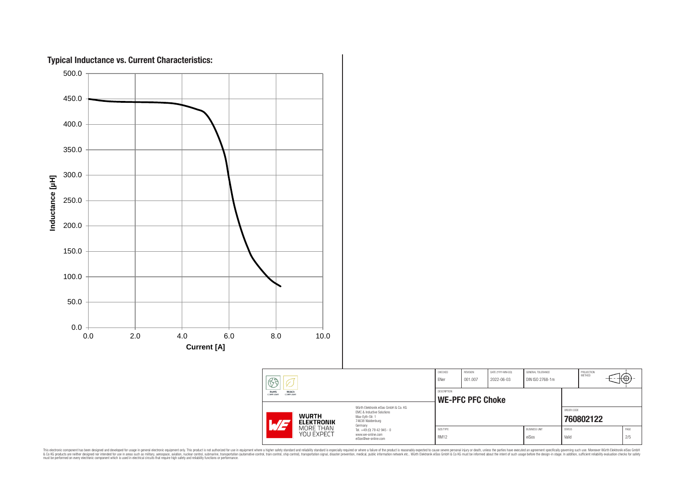

This electronic component has been designed and developed for usage in general electronic equipment only. This product is not authorized for subserved requipment where a higher selection equipment where a higher selection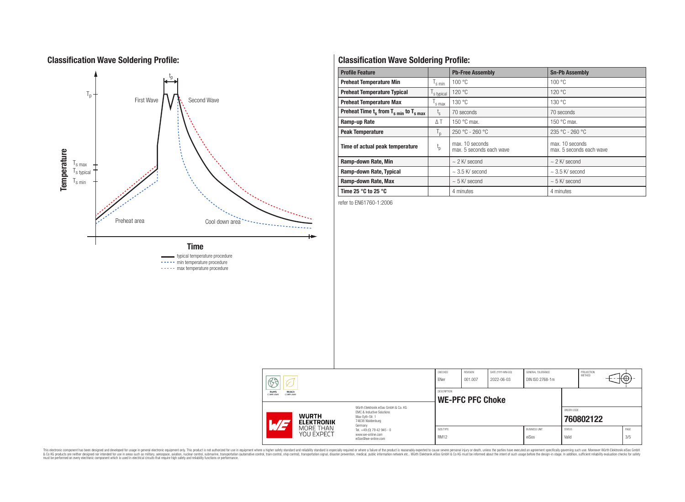# **Classification Wave Soldering Profile:**



----- min temperature procedure

----- max temperature procedure

# **Classification Wave Soldering Profile:**

| <b>Profile Feature</b>                             |                  | <b>Pb-Free Assembly</b>                     | <b>Sn-Pb Assembly</b>                       |
|----------------------------------------------------|------------------|---------------------------------------------|---------------------------------------------|
| <b>Preheat Temperature Min</b>                     | s min            | 100 °C                                      | 100 °C                                      |
| <b>Preheat Temperature Typical</b>                 | s typical        | 120 °C                                      | 120 °C                                      |
| <b>Preheat Temperature Max</b>                     | s max            | 130 °C                                      | 130 °C                                      |
| Preheat Time $t_s$ from $T_{s,min}$ to $T_{s,max}$ | $t_{\rm s}$      | 70 seconds                                  | 70 seconds                                  |
| Ramp-up Rate                                       | $\Delta T$       | 150 $\degree$ C max.                        | 150 $\degree$ C max.                        |
| <b>Peak Temperature</b>                            | $T_{\mathsf{D}}$ | $250 °C - 260 °C$                           | $235 °C - 260 °C$                           |
| Time of actual peak temperature                    | $t_{p}$          | max. 10 seconds<br>max. 5 seconds each wave | max. 10 seconds<br>max. 5 seconds each wave |
| Ramp-down Rate, Min                                |                  | $\sim$ 2 K/ second                          | $\sim$ 2 K/ second                          |
| Ramp-down Rate, Typical                            |                  | $\sim$ 3.5 K/ second                        | $\sim$ 3.5 K/ second                        |
| Ramp-down Rate, Max                                |                  | $\sim$ 5 K/ second                          | $\sim$ 5 K/ second                          |
| Time 25 $^{\circ}$ C to 25 $^{\circ}$ C            |                  | 4 minutes                                   | 4 minutes                                   |

refer to EN61760-1:2006

| 63                                                           |                                                                                                                                                          |                                                                        | CHECKED<br>ENer          | REVISION<br>001.007 | DATE (YYYY-MM-DD)<br>2022-06-03 | <b>GENERAL TOLERANCE</b><br>DIN ISO 2768-1m |                        | PROJECTION<br><b>METHOD</b> | ₩           |
|--------------------------------------------------------------|----------------------------------------------------------------------------------------------------------------------------------------------------------|------------------------------------------------------------------------|--------------------------|---------------------|---------------------------------|---------------------------------------------|------------------------|-----------------------------|-------------|
| REACh<br><b>RoHS</b><br><b>COMPLIANT</b><br><b>COMPLIANT</b> |                                                                                                                                                          | DESCRIPTION<br><b>WE-PFC PFC Choke</b>                                 |                          |                     |                                 |                                             |                        |                             |             |
| $H/I-$                                                       | Würth Elektronik eiSos GmbH & Co. KG<br>FMC & Inductive Solutions<br><b>WURTH</b><br>Max-Eyth-Str. 1<br>74638 Waldenburg<br><b>ELEKTRONIK</b><br>Germany |                                                                        |                          |                     |                                 |                                             | ORDER CODE             | 760802122                   |             |
| MORE THAN<br>YOU EXPECT                                      |                                                                                                                                                          | Tel. +49 (0) 79 42 945 - 0<br>www.we-online.com<br>eiSos@we-online.com | SIZE/TYPE<br><b>RM12</b> |                     |                                 | <b>BUSINESS UNIT</b><br>eiSos               | <b>STATUS</b><br>Valid |                             | PAGE<br>3/5 |

This electronic component has been designed and developed for usage in general electronic equipment only. This product is not authorized for subserved requipment where a higher selection equipment where a higher selection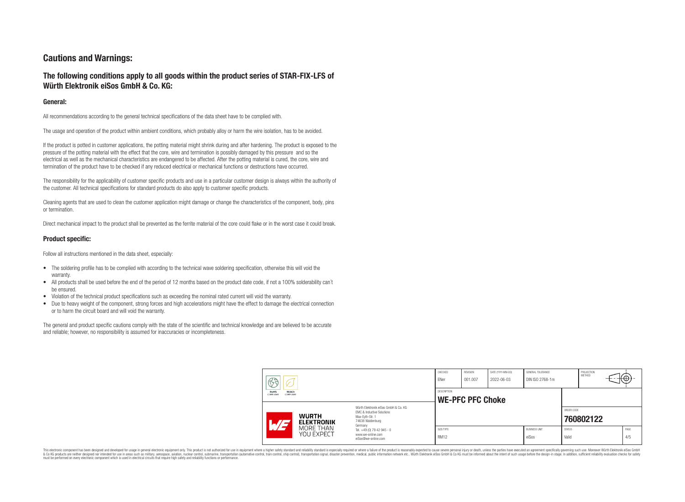# **Cautions and Warnings:**

## **The following conditions apply to all goods within the product series of STAR-FIX-LFS of Würth Elektronik eiSos GmbH & Co. KG:**

## **General:**

All recommendations according to the general technical specifications of the data sheet have to be complied with.

The usage and operation of the product within ambient conditions, which probably alloy or harm the wire isolation, has to be avoided.

If the product is potted in customer applications, the potting material might shrink during and after hardening. The product is exposed to the pressure of the potting material with the effect that the core, wire and termination is possibly damaged by this pressure and so the electrical as well as the mechanical characteristics are endangered to be affected. After the potting material is cured, the core, wire and termination of the product have to be checked if any reduced electrical or mechanical functions or destructions have occurred.

The responsibility for the applicability of customer specific products and use in a particular customer design is always within the authority of the customer. All technical specifications for standard products do also apply to customer specific products.

Cleaning agents that are used to clean the customer application might damage or change the characteristics of the component, body, pins or termination.

Direct mechanical impact to the product shall be prevented as the ferrite material of the core could flake or in the worst case it could break.

## **Product specific:**

Follow all instructions mentioned in the data sheet, especially:

- The soldering profile has to be complied with according to the technical wave soldering specification, otherwise this will void the warranty.
- All products shall be used before the end of the period of 12 months based on the product date code, if not a 100% solderability can't be ensured.
- Violation of the technical product specifications such as exceeding the nominal rated current will void the warranty.
- Due to heavy weight of the component, strong forces and high accelerations might have the effect to damage the electrical connection or to harm the circuit board and will void the warranty.

The general and product specific cautions comply with the state of the scientific and technical knowledge and are believed to be accurate and reliable; however, no responsibility is assumed for inaccuracies or incompleteness.

| द्गुट्ट<br>V<br><b>REACh</b><br>RoHS<br><b>COMPLIANT</b><br>COMPLIANT |                                                                                                                                                                                                                                 | CHECKED<br>ENer                        | REVISION<br>001.007                                       | DATE (YYYY-MM-DD)<br>2022-06-03 | GENERAL TOLERANCE<br>DIN ISO 2768-1m |                        | PROJECTION<br>METHOD | ťΦ          |
|-----------------------------------------------------------------------|---------------------------------------------------------------------------------------------------------------------------------------------------------------------------------------------------------------------------------|----------------------------------------|-----------------------------------------------------------|---------------------------------|--------------------------------------|------------------------|----------------------|-------------|
|                                                                       |                                                                                                                                                                                                                                 | DESCRIPTION<br><b>WE-PFC PFC Choke</b> |                                                           |                                 |                                      |                        |                      |             |
| <b>WURTH</b><br><b>ELEKTRONIK</b>                                     | Würth Elektronik eiSos GmbH & Co. KG<br>EMC & Inductive Solutions<br>Max-Evth-Str. 1<br>74638 Waldenburg<br>ATJ<br>Germany<br>MORE THAN<br>Tel. +49 (0) 79 42 945 - 0<br>YOU EXPECT<br>www.we-online.com<br>eiSos@we-online.com |                                        |                                                           |                                 |                                      | ORDER CODE             | 760802122            |             |
|                                                                       |                                                                                                                                                                                                                                 |                                        | <b>BUSINESS UNIT</b><br>SIZE/TYPE<br><b>RM12</b><br>eiSos |                                 |                                      | <b>STATUS</b><br>Valid |                      | PAGE<br>4/5 |

This electronic component has been designed and developed for usage in general electronic equipment only. This product is not authorized for use in equipment where a higher safety standard and reliability standard is espec & Ook product a label and the membed of the seasuch as marked and as which such a membed and the such assume that income in the seasuch and the simulation and the such assume that include to the such a membed and the such